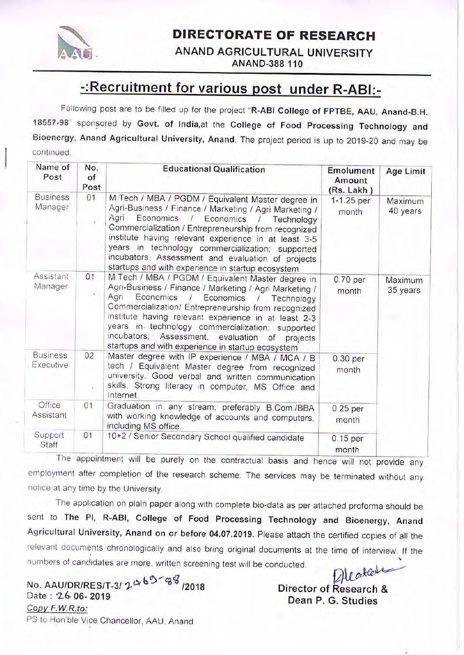

### **DIRECTORATE OF RESEARCH**

ANAND AGRICULTURAL UNIVERSITY ANAND-388 110

# -: Recruitment for various post under R-ABI:-

Following post are to be filled up for the project "R-ABI College of FPTBE, AAU, Anand-B.H. 18557-98" sponsored by Govt. of India, at the College of Food Processing Technology and Bioenergy, Anand Agricultural University, Anand. The project period is up to 2019-20 and may be continued.

| Name of<br>Post              | No.<br>of<br>Post | <b>Educational Qualification</b>                                                                                                                                                                                                                                                                                                                                                                                                                     | <b>Emolument</b><br>Amount<br>(Rs. Lakh) | Age Limit           |
|------------------------------|-------------------|------------------------------------------------------------------------------------------------------------------------------------------------------------------------------------------------------------------------------------------------------------------------------------------------------------------------------------------------------------------------------------------------------------------------------------------------------|------------------------------------------|---------------------|
| <b>Business</b><br>Manager   | 01                | M.Tech / MBA / PGDM / Equivalent Master degree in<br>Agri-Business / Finance / Marketing / Agri Marketing /<br>Agri<br>Economics /<br>Economics<br>Technology<br>Commercialization / Entrepreneurship from recognized<br>institute having relevant experience in at least 3-5<br>years in technology commercialization; supported<br>incubators: Assessment and evaluation of projects<br>startups and with experience in startup ecosystem          | 1-1.25 per<br>month                      | Maximum<br>40 years |
| Assistant<br>Manager         | O <sub>1</sub>    | M.Tech / MBA / PGDM / Equivalent Master degree in<br>Agri-Business / Finance / Marketing / Agri Marketing /<br>Agri<br>Economics<br>Economics<br>$\prime$<br>Technology<br>Commercialization/ Entrepreneurship from recognized<br>institute having relevant experience in at least 2-3<br>years in technology commercialization; supported<br>incubators; Assessment, evaluation of<br>projects<br>startups and with experience in startup ecosystem | 0.70 per<br>month                        | Maximum<br>35 years |
| <b>Business</b><br>Executive | 02<br>¥           | Master degree with IP experience / MBA / MCA / B<br>tech / Equivalent Master degree from recognized<br>university. Good verbal and written communication<br>skills. Strong literacy in computer, MS Office and<br>Internet.                                                                                                                                                                                                                          | 0.30 per<br>month                        |                     |
| Office<br>Assistant          | O <sub>1</sub>    | Graduation in any stream, preferably B.Com./BBA<br>with working knowledge of accounts and computers,<br>including MS office.                                                                                                                                                                                                                                                                                                                         | 0.25 per<br>month                        |                     |
| Support<br>Staff             | 01                | 10+2 / Senior Secondary School qualified candidate                                                                                                                                                                                                                                                                                                                                                                                                   | 0.15 per<br>month                        |                     |

The appointment will be purely on the contractual basis and hence will not provide any employment after completion of the research scheme. The services may be terminated without any notice at any time by the University.

The application on plain paper along with complete bio-data as per attached proforma should be sent to The PI, R-ABI, College of Food Processing Technology and Bioenergy, Anand Agricultural University, Anand on or before 04.07.2019. Please attach the certified copies of all the relevant documents chronologically and also bring original documents at the time of interview. If the numbers of candidates are more, written screening test will be conducted.

No. AAU/DR/RES/T-3/ 2463-38/2018 Date: 26-06-2019 Copy F.W.R.to: PS to Hon'ble Vice Chancellor, AAU, Anand

Alpatter Director of Research & Dean P. G. Studies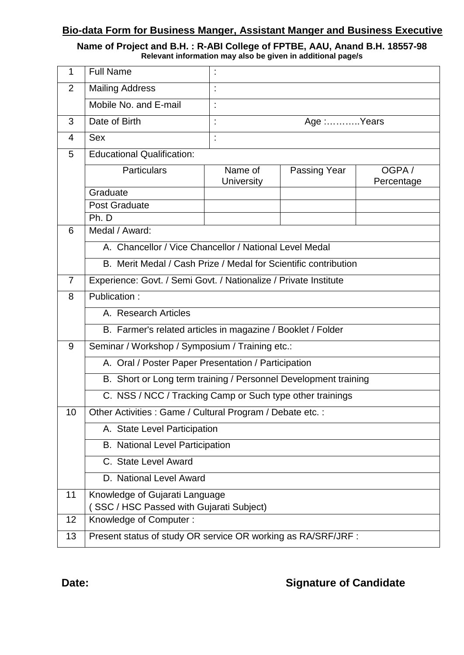#### **Bio-data Form for Business Manger, Assistant Manger and Business Executive**

# **Name of Project and B.H. : R-ABI College of FPTBE, AAU, Anand B.H. 18557-98 Relevant information may also be given in additional page/s**

| 1              | <b>Full Name</b>                                                 |                                                             |              |                     |  |  |
|----------------|------------------------------------------------------------------|-------------------------------------------------------------|--------------|---------------------|--|--|
| 2              | <b>Mailing Address</b>                                           |                                                             |              |                     |  |  |
|                | Mobile No. and E-mail                                            |                                                             |              |                     |  |  |
| 3              | Date of Birth                                                    | t                                                           | Age :Years   |                     |  |  |
| 4              | <b>Sex</b>                                                       | t                                                           |              |                     |  |  |
| 5              | <b>Educational Qualification:</b>                                |                                                             |              |                     |  |  |
|                | <b>Particulars</b>                                               | Name of<br><b>University</b>                                | Passing Year | OGPA/<br>Percentage |  |  |
|                | Graduate                                                         |                                                             |              |                     |  |  |
|                | <b>Post Graduate</b>                                             |                                                             |              |                     |  |  |
|                | Ph. D                                                            |                                                             |              |                     |  |  |
| 6              | Medal / Award:                                                   |                                                             |              |                     |  |  |
|                | A. Chancellor / Vice Chancellor / National Level Medal           |                                                             |              |                     |  |  |
|                | B. Merit Medal / Cash Prize / Medal for Scientific contribution  |                                                             |              |                     |  |  |
| $\overline{7}$ | Experience: Govt. / Semi Govt. / Nationalize / Private Institute |                                                             |              |                     |  |  |
| 8              | Publication:                                                     |                                                             |              |                     |  |  |
|                | A. Research Articles                                             |                                                             |              |                     |  |  |
|                |                                                                  | B. Farmer's related articles in magazine / Booklet / Folder |              |                     |  |  |
| 9              | Seminar / Workshop / Symposium / Training etc.:                  |                                                             |              |                     |  |  |
|                | A. Oral / Poster Paper Presentation / Participation              |                                                             |              |                     |  |  |
|                | B. Short or Long term training / Personnel Development training  |                                                             |              |                     |  |  |
|                | C. NSS / NCC / Tracking Camp or Such type other trainings        |                                                             |              |                     |  |  |
| 10             |                                                                  | Other Activities : Game / Cultural Program / Debate etc. :  |              |                     |  |  |
|                |                                                                  | A. State Level Participation                                |              |                     |  |  |
|                |                                                                  | <b>B.</b> National Level Participation                      |              |                     |  |  |
|                | C. State Level Award                                             |                                                             |              |                     |  |  |
|                | D. National Level Award                                          |                                                             |              |                     |  |  |
| 11             |                                                                  | Knowledge of Gujarati Language                              |              |                     |  |  |
|                | SSC / HSC Passed with Gujarati Subject)                          |                                                             |              |                     |  |  |
| 12             | Knowledge of Computer:                                           |                                                             |              |                     |  |  |
| 13             | Present status of study OR service OR working as RA/SRF/JRF :    |                                                             |              |                     |  |  |